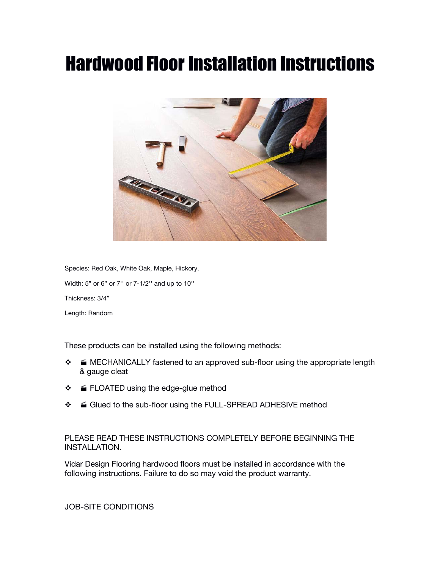# **Hardwood Floor Installation Instructions**



Species: Red Oak, White Oak, Maple, Hickory. Width: 5" or 6" or 7'' or 7-1/2'' and up to 10'' Thickness: 3/4" Length: Random

These products can be installed using the following methods:

- $\div$   $\equiv$  MECHANICALLY fastened to an approved sub-floor using the appropriate length & gauge cleat
- ❖ FLOATED using the edge-glue method
- ❖ Glued to the sub-floor using the FULL-SPREAD ADHESIVE method

PLEASE READ THESE INSTRUCTIONS COMPLETELY BEFORE BEGINNING THE INSTALLATION.

Vidar Design Flooring hardwood floors must be installed in accordance with the following instructions. Failure to do so may void the product warranty.

**JOB-SITE CONDITIONS**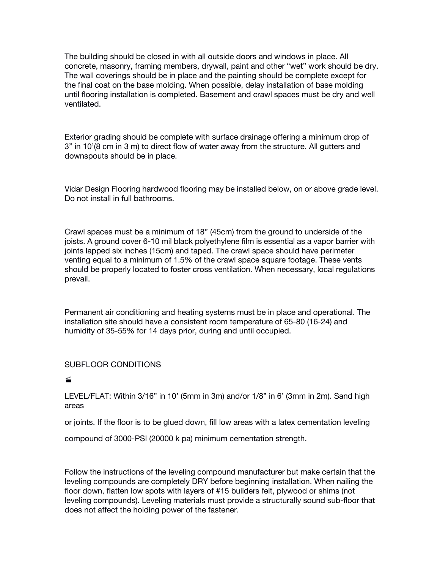The building should be closed in with all outside doors and windows in place. All concrete, masonry, framing members, drywall, paint and other "wet" work should be dry. The wall coverings should be in place and the painting should be complete except for the final coat on the base molding. When possible, delay installation of base molding until flooring installation is completed. Basement and crawl spaces must be dry and well ventilated.

Exterior grading should be complete with surface drainage offering a minimum drop of 3" in 10'(8 cm in 3 m) to direct flow of water away from the structure. All gutters and downspouts should be in place.

Vidar Design Flooring hardwood flooring may be installed below, on or above grade level. Do not install in full bathrooms.

Crawl spaces must be a minimum of 18" (45cm) from the ground to underside of the joists. A ground cover 6-10 mil black polyethylene film is essential as a vapor barrier with joints lapped six inches (15cm) and taped. The crawl space should have perimeter venting equal to a minimum of 1.5% of the crawl space square footage. These vents should be properly located to foster cross ventilation. When necessary, local regulations prevail.

Permanent air conditioning and heating systems must be in place and operational. The installation site should have a consistent room temperature of 65-80 (16-24) and humidity of 35-55% for 14 days prior, during and until occupied.

## **SUBFLOOR CONDITIONS**

#### 

LEVEL/FLAT: Within 3/16" in 10' (5mm in 3m) and/or 1/8" in 6' (3mm in 2m). Sand high areas

or joints. If the floor is to be glued down, fill low areas with a latex cementation leveling

compound of 3000-PSI (20000 k pa) minimum cementation strength.

Follow the instructions of the leveling compound manufacturer but make certain that the leveling compounds are completely DRY before beginning installation. When nailing the floor down, flatten low spots with layers of #15 builders felt, plywood or shims (not leveling compounds). Leveling materials must provide a structurally sound sub-floor that does not affect the holding power of the fastener.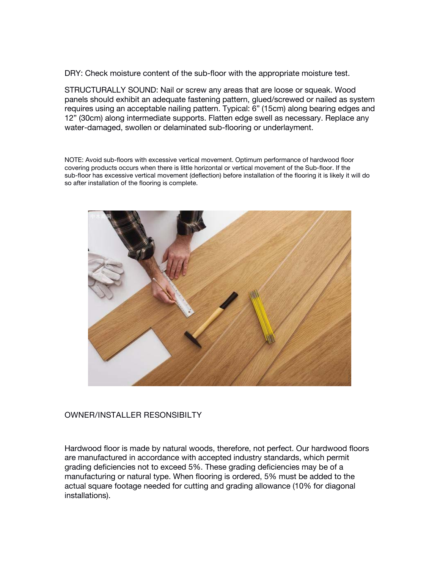DRY: Check moisture content of the sub-floor with the appropriate moisture test.

STRUCTURALLY SOUND: Nail or screw any areas that are loose or squeak. Wood panels should exhibit an adequate fastening pattern, glued/screwed or nailed as system requires using an acceptable nailing pattern. Typical: 6" (15cm) along bearing edges and 12" (30cm) along intermediate supports. Flatten edge swell as necessary. Replace any water-damaged, swollen or delaminated sub-flooring or underlayment.

NOTE: Avoid sub-floors with excessive vertical movement. Optimum performance of hardwood floor covering products occurs when there is little horizontal or vertical movement of the Sub-floor. If the sub-floor has excessive vertical movement (deflection) before installation of the flooring it is likely it will do so after installation of the flooring is complete.



## **OWNER/INSTALLER RESONSIBILTY**

Hardwood floor is made by natural woods, therefore, not perfect. Our hardwood floors are manufactured in accordance with accepted industry standards, which permit grading deficiencies not to exceed 5%.These grading deficiencies may be of a manufacturing or natural type. When flooring is ordered, 5% must be added to the actual square footage needed for cutting and grading allowance (10% for diagonal installations).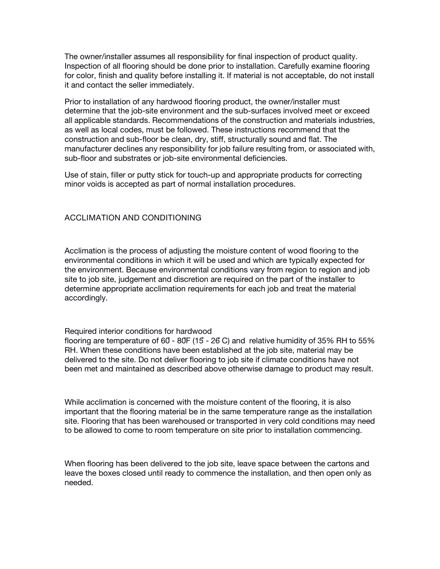The owner/installer assumes all responsibility for finalinspection of product quality. Inspection of all flooring should be done prior to installation. Carefully examine flooring for color, finish and quality before installing it. If material is not acceptable, do not install it and contact the seller immediately.

Prior to installation of any hardwood flooring product, the owner/installer must determine that the job-site environment and the sub-surfaces involved meet or exceed all applicable standards. Recommendations of the construction and materials industries, as well as local codes, must be followed. These instructions recommend that the construction and sub-floor be clean, dry, stiff, structurally sound and flat. The manufacturer declines any responsibility for job failure resulting from, or associated with, sub-floor and substrates or job-site environmental deficiencies.

Use of stain, filler or putty stick for touch-up and appropriate products for correcting minor voids is accepted as part of normal installation procedures.

## **ACCLIMATION AND CONDITIONING**

Acclimation is the process of adjusting the moisture content of wood flooring to the environmental conditions in which it will be used and which are typically expected for the environment. Because environmental conditions vary from region to region and job site to job site, judgement and discretion are required on the part of the installer to determine appropriate acclimation requirements for each job and treat the material accordingly.

#### Required interior conditions for hardwood

flooring are temperature of 60- 80F (15- 26C) and relative humidity of 35% RH to 55% RH. When these conditions have been established at the job site, material may be delivered to the site. Do not deliver flooring to job site if climate conditions have not been met and maintained as described above otherwise damage to product may result.

While acclimation is concerned with the moisture content of the flooring, it is also important that the flooring material be in the same temperature range as the installation site. Flooring that has been warehoused or transported in very cold conditions may need to be allowed to come to room temperature on site prior to installation commencing.

When flooring has been delivered to the job site, leave space between the cartons and leave the boxes closed until ready to commence the installation, and then open only as needed.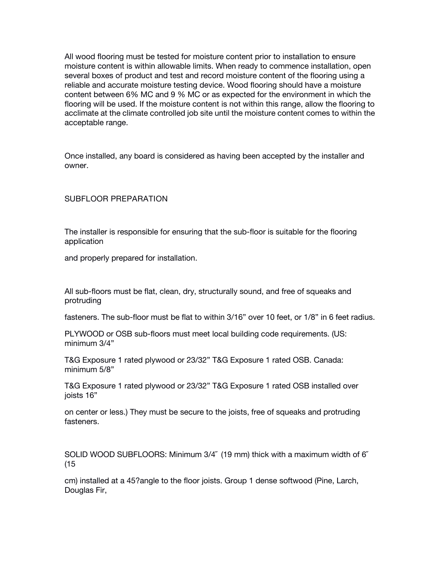All wood flooring must be tested for moisture content prior to installation to ensure moisture content is within allowable limits. When ready to commence installation, open several boxes of product and test and record moisture content of the flooring using a reliable and accurate moisture testing device. Wood flooring should have a moisture content between 6% MC and 9 % MC or as expected for the environment in which the flooring will be used. If the moisture content is not within this range, allow the flooring to acclimate at the climate controlled job site until the moisture content comes to within the acceptable range.

Once installed, any board is considered as having been accepted by the installer and owner.

**SUBFLOOR PREPARATION**

The installer is responsible for ensuring that the sub-floor is suitable for the flooring application

and properly prepared for installation.

All sub-floors must be flat, clean, dry, structurally sound, and free of squeaks and protruding

fasteners. The sub-floor must be flat to within 3/16" over 10 feet, or 1/8" in 6 feet radius.

PLYWOOD or OSB sub-floors must meet local building code requirements. (US: minimum 3/4"

T&G Exposure 1 rated plywood or 23/32" T&G Exposure 1 rated OSB. Canada: minimum 5/8"

T&G Exposure 1 rated plywood or 23/32" T&G Exposure 1 rated OSB installed over joists 16"

on center orless.) They must be secure to the joists, free of squeaks and protruding fasteners.

SOLID WOOD SUBFLOORS: Minimum 3/4˝ (19 mm) thick with a maximum width of 6˝  $(15)$ 

cm) installed at a 45?angle to the floor joists. Group 1 dense softwood (Pine, Larch, Douglas Fir,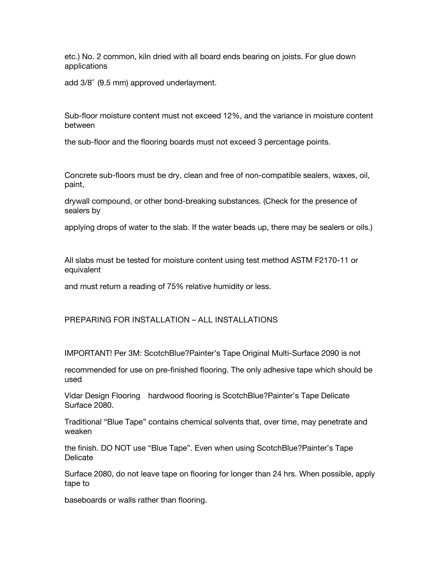etc.) No. 2 common, kiln dried with all board ends bearing on joists. For glue down applications

add 3/8" (9.5 mm) approved underlayment.

Sub-floor moisture content must not exceed 12%, and the variance in moisture content between

the sub-floor and the flooring boards must not exceed 3 percentage points.

Concrete sub-floors must be dry, clean and free of non-compatible sealers, waxes, oil, paint,

drywall compound, or other bond-breaking substances.(Check for the presence of sealers by

applying drops of water to the slab. If the water beads up, there may be sealers or oils.)

All slabs must be tested for moisture content using test method ASTM F2170-11 or equivalent

and must return a reading of 75% relative humidity or less.

## **PREPARING FOR INSTALLATION – ALL INSTALLATIONS**

IMPORTANT! Per 3M: ScotchBlue?Painter's Tape Original Multi-Surface 2090 is not

recommended for use on pre-finished flooring. The only adhesive tape which should be used

Vidar Design Flooring hardwood flooring is ScotchBlue?Painter's Tape Delicate Surface 2080.

Traditional "Blue Tape" contains chemical solvents that, over time, may penetrate and weaken

the finish. DO NOT use"Blue Tape". Even when using ScotchBlue?Painter's Tape Delicate

Surface 2080, do not leave tape on flooring for longer than 24 hrs. When possible, apply tape to

baseboards or walls rather than flooring.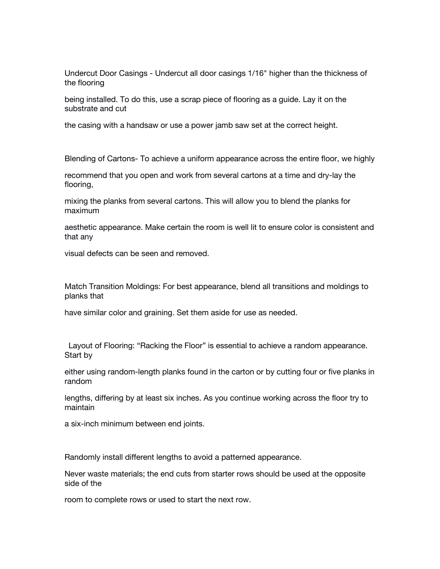Undercut Door Casings - Undercut all door casings 1/16" higher than the thickness of the flooring

being installed. To do this, use a scrap piece of flooring as a guide. Lay it on the substrate and cut

the casing with a handsaw or use a power jamb saw set at the correct height.

Blending of Cartons- To achieve a uniform appearance across the entire floor, we highly

recommend that you open and work from several cartons at a time and dry-lay the flooring,

mixing the planks from several cartons. This will allow you to blend the planks for maximum

aesthetic appearance. Make certain the room is well lit to ensure color is consistent and that any

visual defects can be seen and removed.

Match Transition Moldings: For best appearance, blend all transitions and moldings to planks that

have similar color and graining. Set them aside for use as needed.

Layout of Flooring: "Racking the Floor" is essential to achieve a random appearance. Start by

either using random-length planks found in the carton or by cutting four or five planks in random

lengths, differing by at least six inches. As you continue working across the floor try to maintain

a six-inch minimum between end joints.

Randomly install different lengths to avoid a patterned appearance.

Never waste materials; the end cuts from starter rows should be used at the opposite side of the

room to complete rows or used to start the next row.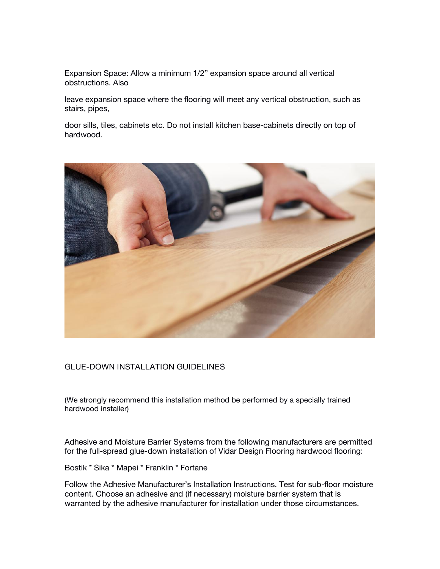Expansion Space: Allow a minimum 1/2" expansion space around all vertical obstructions. Also

leave expansion space where the flooring will meet any vertical obstruction, such as stairs, pipes,

door sills, tiles, cabinets etc. Do not install kitchen base-cabinets directly on top of hardwood.



#### **GLUE-DOWN INSTALLATION GUIDELINES**

(We strongly recommend this installation method be performed by a specially trained hardwood installer)

Adhesive and Moisture Barrier Systems from the following manufacturers are permitted for the full-spread glue-down installation of Vidar Design Flooring hardwood flooring:

Bostik \* Sika \* Mapei \* Franklin \* Fortane

Follow the Adhesive Manufacturer's Installation Instructions. Test for sub-floor moisture content. Choose an adhesive and (if necessary) moisture barrier system that is warranted by the adhesive manufacturer for installation under those circumstances.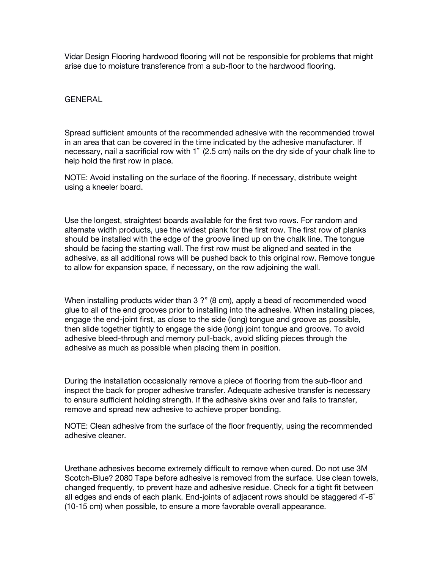Vidar Design Flooring hardwood flooring will not be responsible for problems that might arise due to moisture transference from a sub-floor to the hardwood flooring.

**GENERAL**

Spread sufficient amounts of the recommended adhesive with the recommended trowel in an area that can be covered in the time indicated by the adhesive manufacturer. If necessary, nail a sacrificial row with 1˝ (2.5 cm) nails on the dry side of your chalk line to help hold the first row in place.

NOTE: Avoid installing on the surface of the flooring. If necessary, distribute weight using a kneeler board.

Use the longest, straightest boards available for the first two rows. For random and alternate width products, use the widest plank for the first row. The first row of planks should be installed with the edge of the groove lined up on the chalk line. The tongue should be facing the starting wall. The first row must be aligned and seated in the adhesive, as all additional rows will be pushed back to this original row. Remove tongue to allow for expansion space, if necessary, on the row adjoining the wall.

When installing products wider than 3 ?" (8 cm), apply a bead of recommended wood glue to all of the end grooves prior to installing into the adhesive. When installing pieces, engage the end-joint first, as close to the side (long) tongue and groove as possible, then slide together tightly to engage the side (long) joint tongue and groove. To avoid adhesive bleed-through and memory pull-back, avoid sliding pieces through the adhesive as much as possible when placing them in position.

During the installation occasionally remove a piece of flooring from the sub-floor and inspect the back for proper adhesive transfer. Adequate adhesive transfer is necessary to ensure sufficient holding strength. If the adhesive skins over and fails to transfer, remove and spread new adhesive to achieve proper bonding.

NOTE: Clean adhesive from the surface of the floor frequently, using the recommended adhesive cleaner.

Urethane adhesives become extremely difficult to remove when cured. Do not use 3M Scotch-Blue? 2080 Tape before adhesive is removed from the surface. Use clean towels, changed frequently, to prevent haze and adhesive residue. Check for a tight fit between all edges and ends of each plank. End-joints of adjacent rows should be staggered 4˝-6˝ (10-15 cm) when possible, to ensure a more favorable overall appearance.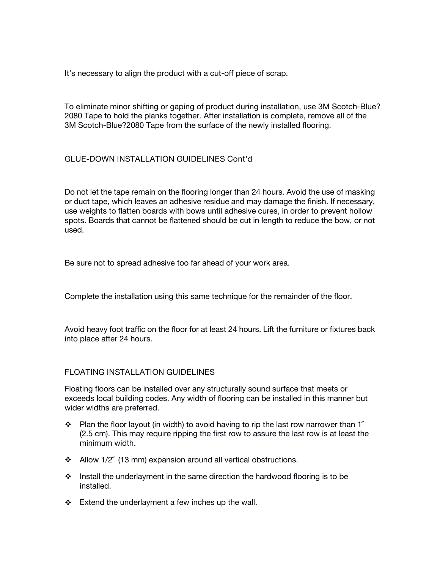It's necessary to align the product with a cut-off piece of scrap.

To eliminate minor shifting or gaping of product during installation, use 3M Scotch-Blue? 2080 Tape to hold the planks together. After installation iscomplete, remove all of the 3M Scotch-Blue?2080 Tape from the surface of the newly installed flooring.

## **GLUE-DOWN INSTALLATION GUIDELINES Cont'd**

Do not let the tape remain on the flooring longer than 24 hours. Avoid the use of masking or duct tape, which leaves an adhesive residue and may damage the finish. If necessary, use weights to flatten boards with bows until adhesive cures, in order to prevent hollow spots. Boards that cannot be flattened should be cut in length to reduce the bow, or not used.

Be sure not to spread adhesive too far ahead of your work area.

Complete the installation using this same technique for the remainder of the floor.

Avoid heavy foot traffic on the floor for at least 24 hours. Lift the furniture or fixtures back into place after 24 hours.

#### **FLOATING INSTALLATION GUIDELINES**

Floating floors can be installed over any structurally sound surface that meets or exceeds local building codes. Any width of flooring can be installed in this manner but wider widths are preferred.

- $\cdot \cdot$  Plan the floor layout (in width) to avoid having to rip the last row narrower than 1<sup>″</sup> (2.5 cm). This may require ripping the first row to assure the last row is at least the minimum width.
- Allow 1/2˝ (13 mm) expansion around all vertical obstructions.
- Install the underlayment in the same direction the hardwood flooring is to be installed.
- $\div$  Extend the underlayment a few inches up the wall.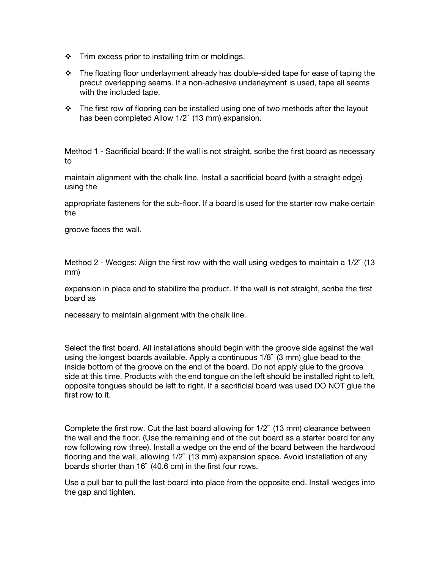- $\div$  Trim excess prior to installing trim or moldings.
- \* The floating floor underlayment already has double-sided tape for ease of taping the precut overlapping seams. If a non-adhesive underlayment is used, tape all seams with the included tape.
- $\cdot \cdot$  The first row of flooring can be installed using one of two methods after the layout has been completed Allow 1/2˝ (13mm) expansion.

Method 1 - Sacrificial board: If the wall is not straight, scribe the first board as necessary to

maintain alignment with the chalk line. Install a sacrificial board (with a straight edge) using the

appropriate fasteners for the sub-floor. If a board is used for the starter row make certain the

groove faces the wall.

Method 2 - Wedges: Align the first row with the wall using wedges to maintain a  $1/2$ <sup>"</sup> (13) mm)

expansion in place and to stabilize the product. If the wall is not straight, scribe the first board as

necessary to maintain alignment with the chalk line.

Select the first board. All installations should begin with the groove side against the wall using the longest boards available. Apply a continuous 1/8˝ (3 mm) glue bead to the inside bottom of the groove on the end of the board. Do not apply glue to the groove side at this time. Products with the end tongue on the left should be installed right to left, opposite tongues should be left to right. If a sacrificial board was used DO NOT glue the first row to it.

Complete the first row. Cut the last board allowing for 1/2˝ (13 mm) clearance between the wall and the floor. (Use the remaining end of the cut board as a starter board for any row following row three). Install a wedge on the end of the board between the hardwood flooring and the wall, allowing 1/2˝ (13 mm) expansion space. Avoid installation of any boards shorter than 16˝ (40.6 cm) in the first four rows.

Use a pull bar to pull the last board into place from the opposite end. Install wedges into the gap and tighten.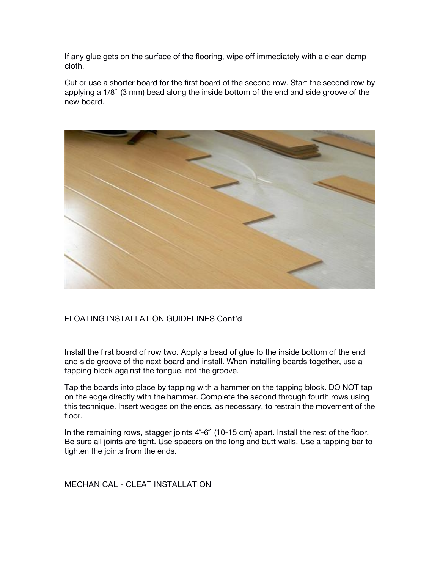If any glue gets on the surface of the flooring, wipe off immediately with a clean damp cloth.

Cut or use a shorter board for the first board of the second row. Start the second row by applying a  $1/8$ <sup> $\degree$ </sup> (3 mm) bead along the inside bottom of the end and side groove of the new board.



## **FLOATING INSTALLATION GUIDELINES Cont'd**

Install the first board of row two. Apply a bead of glue to the inside bottom of the end and side groove of the next board and install. When installing boards together, use a tapping block against the tongue, not the groove.

Tap the boards into place by tapping with a hammer on the tapping block. DO NOT tap on the edge directly with the hammer. Complete the second through fourth rows using this technique. Insert wedges on the ends, as necessary, to restrain the movement of the floor.

In the remaining rows, stagger joints 4<sup>"-6"</sup> (10-15 cm) apart. Install the rest of the floor. Be sure all joints are tight. Use spacers on the long and butt walls. Use a tapping bar to tighten the joints from the ends.

**MECHANICAL - CLEAT INSTALLATION**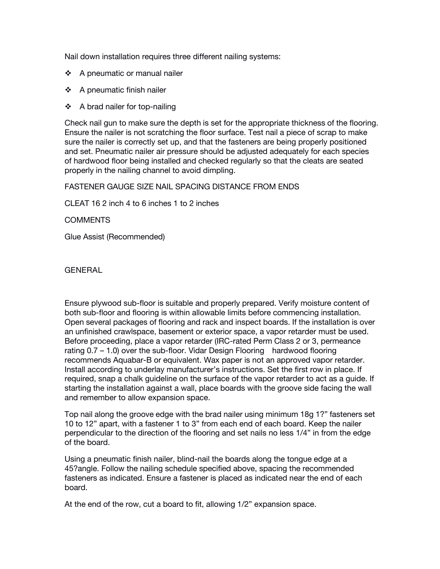Nail down installation requires three different nailing systems:

- $\div$  A pneumatic or manual nailer
- $\div$  A pneumatic finish nailer
- A brad nailer for top-nailing

Check nail gun to make sure the depth is set for the appropriate thickness of the flooring. Ensure the nailer is not scratching the floor surface. Test naila piece of scrap to make sure the nailer is correctly set up, and that the fasteners are being properly positioned and set. Pneumatic nailer air pressure should be adjusted adequately for each species of hardwood floor being installed and checked regularly so that the cleats are seated properly in the nailing channel to avoid dimpling.

FASTENER GAUGE SIZE NAIL SPACING DISTANCE FROM ENDS

CLEAT 16 2 inch 4 to 6 inches 1 to 2 inches

COMMENTS

Glue Assist (Recommended)

**GENERAL**

Ensure plywood sub-floor is suitable and properly prepared. Verify moisture content of both sub-floor and flooring is within allowable limits before commencing installation. Open several packages of flooring and rack and inspect boards. If the installation is over an unfinished crawlspace, basement or exterior space, a vapor retarder must be used. Before proceeding, place a vapor retarder (IRC-rated Perm Class 2 or 3, permeance rating 0.7 – 1.0) over the sub-floor. Vidar Design Flooring hardwood flooring recommends Aquabar-B or equivalent. Wax paper is not an approved vapor retarder. Install according to underlay manufacturer's instructions. Set the first row in place. If required, snap a chalk guideline on the surface of the vapor retarder to act as a guide. If starting the installation against a wall, place boards with the groove side facing the wall and remember to allow expansion space.

Top nail along the groove edge with the brad nailer using minimum 18g 1?" fasteners set 10 to 12" apart, with a fastener1 to 3" from each end of each board. Keep the nailer perpendicular to the direction of the flooring and set nails no less 1/4" in from the edge of the board.

Using a pneumatic finish nailer, blind-nail the boards along the tongue edge at a 45?angle. Follow the nailing schedule specified above, spacing the recommended fasteners as indicated. Ensure a fastener is placed as indicated near the end of each board.

At the end of the row, cut a board to fit, allowing 1/2" expansion space.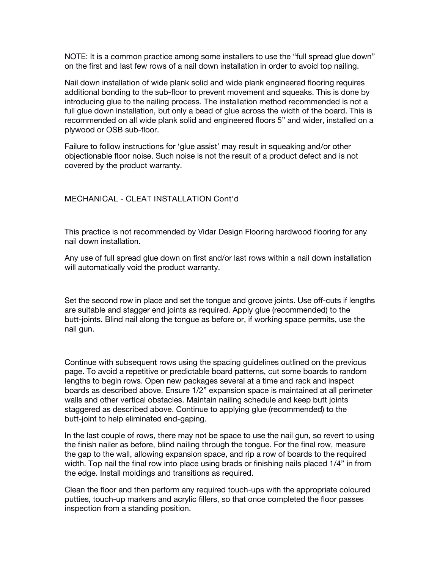NOTE: It is a common practice among some installers to use the "full spread glue down" on the first and last few rows of a nail down installation in order to avoid top nailing.

Nail down installation of wide plank solid and wide plank engineered flooring requires additional bonding to the sub-floor to prevent movement and squeaks. This is done by introducing glue to the nailing process. The installation method recommended is not a full glue down installation, but only a bead of glue across the width of the board. This is recommended on all wide plank solid and engineered floors 5" and wider, installed on a plywood or OSB sub-floor.

Failure to follow instructions for 'glue assist' may result in squeaking and/or other objectionable floor noise. Such noise is not the result of a product defect and is not covered by the product warranty.

## **MECHANICAL - CLEAT INSTALLATION Cont'd**

This practice is not recommended by Vidar Design Flooring hardwood flooring for any

Any use of full spread glue down on first and/or last rows within a nail down installation will automatically void the product warranty.

Set the second row in place and set the tongue and groove joints. Use off-cuts if lengths are suitable and stagger end joints as required.Apply glue (recommended) to the butt-joints. Blind nail along the tongue as before or, if working space permits, use the nail gun.

Continue with subsequent rows using the spacing guidelines outlined on the previous page. To avoid a repetitive or predictable board patterns, cut some boards to random lengths to begin rows. Open new packages several at a time and rack and inspect boards as described above. Ensure 1/2"expansion space is maintained at all perimeter walls and other vertical obstacles. Maintain nailing schedule and keep butt joints staggered as described above. Continue to applying glue (recommended) to the butt-joint to help eliminated end-gaping.

In the last couple of rows, there may not be space to use the nail gun, so revert to using the finish nailer as before, blind nailing through the tongue.For the final row, measure the gap to the wall, allowing expansion space, and rip a row of boards to the required width. Top nail the final row into place using brads or finishing nails placed 1/4" in from<br>the edge. Install moldings and transitions as required.

Clean the floor and then perform any required touch-ups with the appropriate coloured putties, touch-up markers and acrylic fillers, so that once completed the floor passes inspection from a standing position.